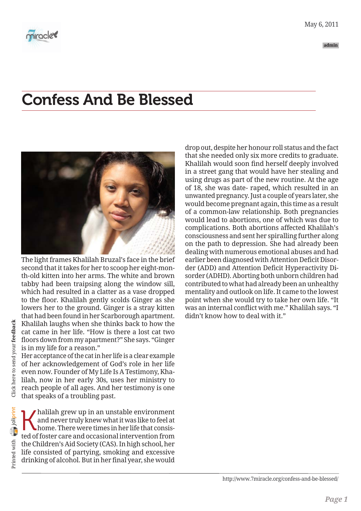



The light frames Khalilah Bruzal's face in the brief second that it takes for her to scoop her eight-month-old kitten into her arms. The white and brown tabby had been traipsing along the window sill, which had resulted in a clatter as a vase dropped to the floor. Khalilah gently scolds Ginger as she lowers her to the ground. Ginger is a stray kitten that had been found in her Scarborough apartment. Khalilah laughs when she thinks back to how the cat came in her life. "How is there a lost cat two floors down from my apartment?" She says. "Ginger is in my life for a reason."

Her acceptance of the cat in her life is a clear example of her acknowledgement of God's role in her life even now. Founder of My Life Is A Testimony, Khalilah, now in her early 30s, uses her ministry to reach people of all ages. And her testimony is one that speaks of a troubling past.

Ahalilah grew up in an unstable environment<br>and never truly knew what it was like to feel at<br>home. There were times in her life that consisted of foster care and occasional intervention from and never truly knew what it was like to feel at home. There were times in her life that consisted of foster care and occasional intervention from the Children's Aid Society (CAS). In high school, her life consisted of partying, smoking and excessive drinking of alcohol. But in her final year, she would

drop out, despite her honour roll status and the fact that she needed only six more credits to graduate. Khalilah would soon find herself deeply involved in a street gang that would have her stealing and using drugs as part of the new routine. At the age of 18, she was date- raped, which resulted in an unwanted pregnancy. Just a couple of years later, she would become pregnant again, this time as a result of a common-law relationship. Both pregnancies would lead to abortions, one of which was due to complications. Both abortions affected Khalilah's consciousness and sent her spiralling further along on the path to depression. She had already been dealing with numerous emotional abuses and had earlier been diagnosed with Attention Deficit Disorder (ADD) and Attention Deficit Hyperactivity Disorder (ADHD). Aborting both unborn children had contributed to what had already been an unhealthy mentality and outlook on life. It came to the lowest point when she would try to take her own life. "It was an internal conflict with me." Khalilah says. "I didn't know how to deal with it."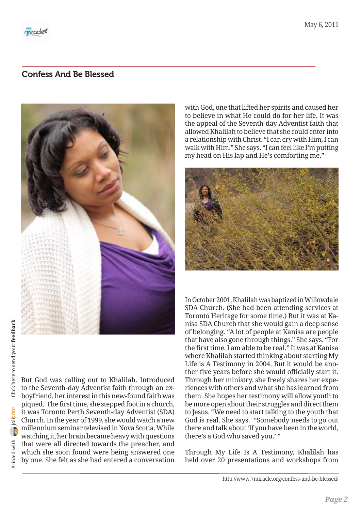

with God, one that lifted her spirits and caused her to believe in what He could do for her life. It was the appeal of the Seventh-day Adventist faith that allowed Khalilah to believe that she could enter into a relationship with Christ. "I can cry with Him, I can walk with Him." She says. "I can feel like I'm putting my head on His lap and He's comforting me."



In October 2001, Khalilah was baptized in Willowdale SDA Church. (She had been attending services at Toronto Heritage for some time.) But it was at Kanisa SDA Church that she would gain a deep sense of belonging. "A lot of people at Kanisa are people that have also gone through things." She says. "For the first time, I am able to be real." It was at Kanisa where Khalilah started thinking about starting My Life is A Testimony in 2004. But it would be another five years before she would officially start it. Through her ministry, she freely shares her experiences with others and what she has learned from them. She hopes her testimony will allow youth to be more open about their struggles and direct them to Jesus. "We need to start talking to the youth that God is real. She says. "Somebody needs to go out there and talk about 'If you have been in the world, there's a God who saved you.' "

Through My Life Is A Testimony, Khalilah has held over 20 presentations and workshops from

But God was calling out to Khalilah. Introduced to the Seventh-day Adventist faith through an exboyfriend, her interest in this new-found faith was piqued. The first time, she stepped foot in a church, it was Toronto Perth Seventh-day Adventist (SDA) Church. In the year of 1999, she would watch a new millennium seminar televised in Nova Scotia. While watching it, her brain became heavy with questions that were all directed towards the preacher, and which she soon found were being answered one by one. She felt as she had entered a conversation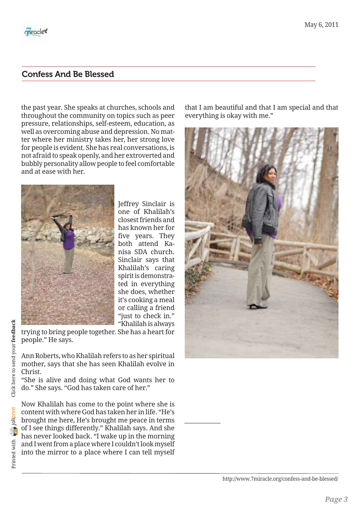

the past year. She speaks at churches, schools and throughout the community on topics such as peer pressure, relationships, self-esteem, education, as well as overcoming abuse and depression. No matter where her ministry takes her, her strong love for people is evident. She has real conversations, is not afraid to speak openly, and her extroverted and bubbly personality allow people to feel comfortable and at ease with her.



Jeffrey Sinclair is one of Khalilah's closest friends and has known her for five years. They both attend Kanisa SDA church. Sinclair says that Khalilah's caring spirit is demonstrated in everything she does, whether it's cooking a meal or calling a friend "just to check in." "Khalilah is always

*\_\_\_\_\_\_\_\_\_\_\_\_*

trying to bring people together. She has a heart for people." He says.

Ann Roberts, who Khalilah refers to as her spiritual mother, says that she has seen Khalilah evolve in Christ.

"She is alive and doing what God wants her to do." She says. "God has taken care of her."

Now Khalilah has come to the point where she is content with where God has taken her in life. "He's brought me here, He's brought me peace in terms of I see things differently." Khalilah says. And she has never looked back. "I wake up in the morning and I went from a place where I couldn't look myself into the mirror to a place where I can tell myself that I am beautiful and that I am special and that everything is okay with me."